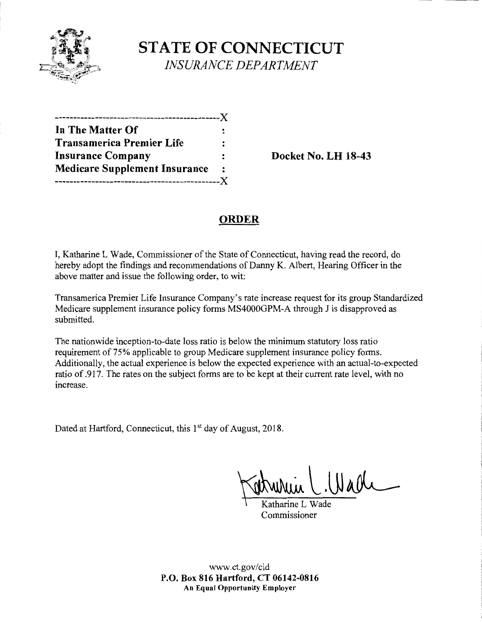

**STATE OF CONNECTICUT**  *INSURANCE DEPARTMENT* 

| -------------X                       |   |
|--------------------------------------|---|
| In The Matter Of                     |   |
| <b>Transamerica Premier Life</b>     |   |
| <b>Insurance Company</b>             |   |
| <b>Medicare Supplement Insurance</b> | : |
| -------------X                       |   |

**Insurance Company Docket No. LH 18-43** 

# **ORDER**

I, Katharine L Wade, Commissioner of the State of Connecticut, having read the record, do hereby adopt the findings and recommendations of Danny K. Albert, Hearing Officer in the above matter and issue the following order, to wit:

Transamerica Premier Life Insurance Company's rate increase request for its group Standardized Medicare supplement insurance policy forms MS4000GPM-A through J is disapproved as submitted.

The nationwide inception-to-date loss ratio is below the minimum statutory loss ratio requirement of 75% applicable to group Medicare supplement insurance policy forms. Additionally, the actual experience is below the expected experience with an actual-to-expected ratio of .917. The rates on the subject forms are to be kept at their current rate level, with no mcrease.

Dated at Hartford, Connecticut, this 1<sup>st</sup> day of August, 2018.

Wadr

Commissioner

www.ct.gov/cid **P.O. Box 816 Hartford, CT 06142-0816 An Equal Opportunity Employer**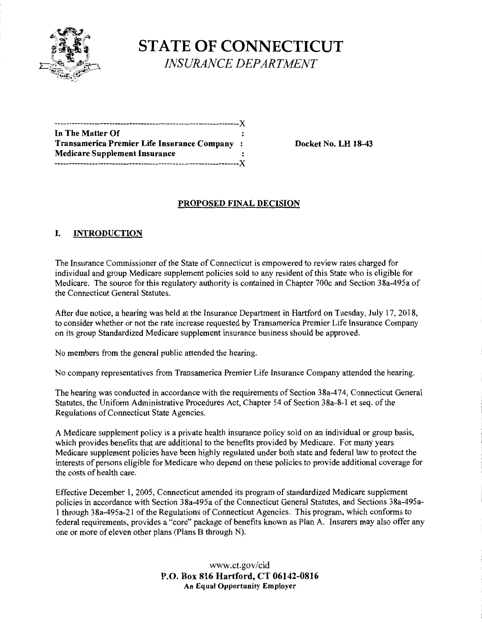

**STATE OF CONNECTICUT**  *INSURANCE DEPARTMENT* 

| In The Matter Of                             |  |
|----------------------------------------------|--|
| Transamerica Premier Life Insurance Company: |  |
| <b>Medicare Supplement Insurance</b>         |  |
| ---------------------X                       |  |

**Transamerica Premier Life Insurance Company** : **Docket No. LH 18-43** 

#### **PROPOSED FINAL DECISION**

## I. **INTRODUCTION**

The Insurance Commissioner of the State of Connecticut is empowered to review rates charged for individual and group Medicare supplement policies sold to any resident of this State who is eligible for Medicare. The source for this regulatory authority is contained in Chapter 700c and Section 38a-495a of the Connecticut General Statutes.

After due notice, a hearing was held at the Insurance Department in Hartford on Tuesday, July 17, 2018, to consider whether or not the rate increase requested by Transamerica Premier Life Insurance Company on its group Standardized Medicare supplement insurance business should be approved.

No members from the general public attended the hearing.

No company representatives from Transamerica Premier Life Insurance Company attended the hearing.

The hearing was conducted in accordance with the requirements of Section 38a-474, Connecticut General Statutes, the Uniform Administrative Procedures Act, Chapter 54 of Section 38a-8-1 et seq. of the Regulations of Connecticut State Agencies.

A Medicare supplement policy is a private health insurance policy sold on an individual or group basis, which provides benefits that are additional to the benefits provided by Medicare. For many years Medicare supplement policies have been highly regulated under both state and federal law to protect the interests of persons eligible for Medicare who depend on these policies to provide additional coverage for the costs of health care.

Effective December 1, 2005, Connecticut amended its program of standardized Medicare supplement policies in accordance with Section 38a-495a of the Connecticut General Statutes, and Sections 38a-495al through 38a-495a-21 ofthe Regulations of Connecticut Agencies. This program, which conforms to federal requirements, provides a "core" package of benefits known as Plan A. Insurers may also offer any one or more of eleven other plans (Plans B through N).

> www.ct.gov/cid **P.O. Box 816 Hartford, CT 06142-0816 An Equal Opportunity Employer**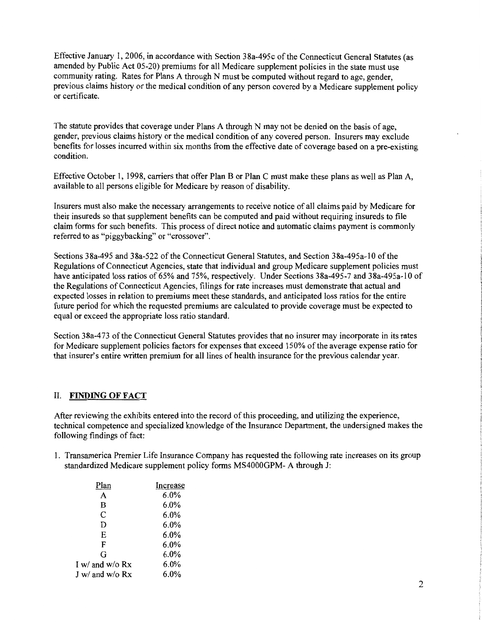Effective January 1, 2006, in accordance with Section 38a-495c of the Connecticut General Statutes (as amended by Public Act 05-20) premiums for all Medicare supplement policies in the state must use community rating. Rates for Plans A through N must be computed without regard to age, gender, previous claims history or the medical condition of any person covered by a Medicare supplement policy or certificate.

The statute provides that coverage under Plans A through N may not be denied on the basis of age, gender, previous claims history or the medical condition of any covered person. Insurers may exclude benefits for losses incurred within six months from the effective date of coverage based on a pre-existing condition.

Effective October I, 1998, carriers that offer Plan B or Plan C must make these plans as well as Plan A, available to all persons eligible for Medicare by reason of disability.

Insurers must also make the necessary arrangements to receive notice of all claims paid by Medicare for their insureds so that supplement benefits can be computed and paid without requiring insureds to file claim forms for such benefits. This process of direct notice and automatic claims payment is commonly referred to as "piggybacking" or "crossover".

Sections 38a-495 and 38a-522 of the Connecticut General Statutes, and Section 38a-495a-10 of the Regulations of Connecticut Agencies, state that individual and group Medicare supplement policies must have anticipated loss ratios of 65% and 75%, respectively. Under Sections 38a-495-7 and 38a-495a-10 of the Regulations of Connecticut Agencies, filings for rate increases must demonstrate that actual and expected losses in relation to premiums meet these standards, and anticipated loss ratios for the entire future period for which the requested premiums are calculated to provide coverage must be expected to equal or exceed the appropriate loss ratio standard.

Section 38a-473 of the Connecticut General Statutes provides that no insurer may incorporate in its rates for Medicare supplement policies factors for expenses that exceed 150% of the average expense ratio for that insurer's entire written premium for all lines of health insurance for the previous calendar year.

## IL **FINDING OF FACT**

After reviewing the exhibits entered into the record ofthis proceeding, and utilizing the experience, technical competence and specialized knowledge of the Insurance Department, the undersigned makes the following findings of fact:

1. Transamerica Premier Life Insurance Company has requested the following rate increases on its group standardized Medicare supplement policy forms MS4000GPM-A through J:

| Plan            | Increase |
|-----------------|----------|
| A               | 6.0%     |
| B               | 6.0%     |
| C               | $6.0\%$  |
| D               | 6.0%     |
| E               | $6.0\%$  |
| F               | $6.0\%$  |
| G               | 6.0%     |
| I w/ and w/o Rx | $6.0\%$  |
| J w/ and w/o Rx | 6.0%     |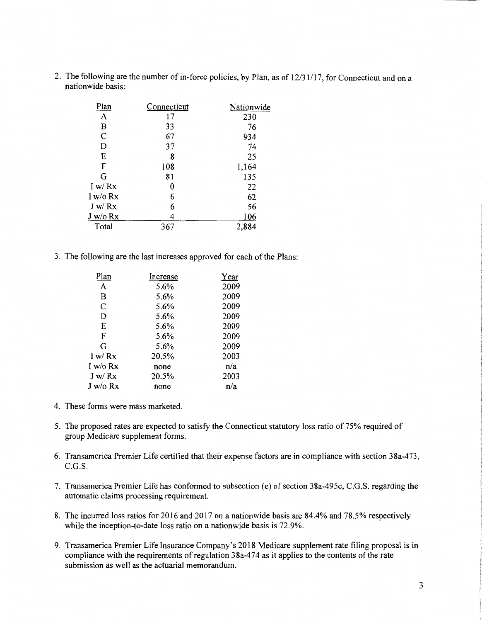2. The following are the number of in-force policies, by Plan, as of 12/31/17, for Connecticut and on a nationwide basis:

| Plan           | Connecticut | Nationwide |
|----------------|-------------|------------|
| A              | 17          | 230        |
| B              | 33          | 76         |
| $\overline{C}$ | 67          | 934        |
| D              | 37          | 74         |
| E              | 8           | 25         |
| F              | 108         | 1,164      |
| G              | 81          | 135        |
| I w/Rx         | 0           | 22         |
| I w/o $Rx$     | 6           | 62         |
| J w/Rx         | 6           | 56         |
| $J$ w/o $Rx$   | 4           | 106        |
| Total          | 367         | 2,884      |

3. The following are the last increases approved for each of the Plans:

| Increase | Year |
|----------|------|
| 5.6%     | 2009 |
| 5.6%     | 2009 |
| 5.6%     | 2009 |
| 5.6%     | 2009 |
| 5.6%     | 2009 |
| 5.6%     | 2009 |
| 5.6%     | 2009 |
| 20.5%    | 2003 |
| none     | n/a  |
| 20.5%    | 2003 |
| none     | n/a  |
|          |      |

- 4. These forms were mass marketed.
- 5. The proposed rates are expected to satisfy the Connecticut statutory loss ratio of 75% required of group Medicare supplement forms.
- 6. Transamerica Premier Life certified that their expense factors are in compliance with section 38a-473, C.G.S.
- 7. Transamerica Premier Life has conformed to subsection (e) of section 38a-495c, C.G.S. regarding the automatic claims processing requirement.
- 8. The incurred loss ratios for 2016 and 2017 on a nationwide basis are 84.4% and 78.5% respectively while the inception-to-date loss ratio on a nationwide basis is 72.9%.
- 9. Transamerica Premier Life Insurance Company's 2018 Medicare supplement rate filing proposal is in compliance with the requirements of regulation 38a-474 as it applies to the contents of the rate submission as well as the actuarial memorandum.